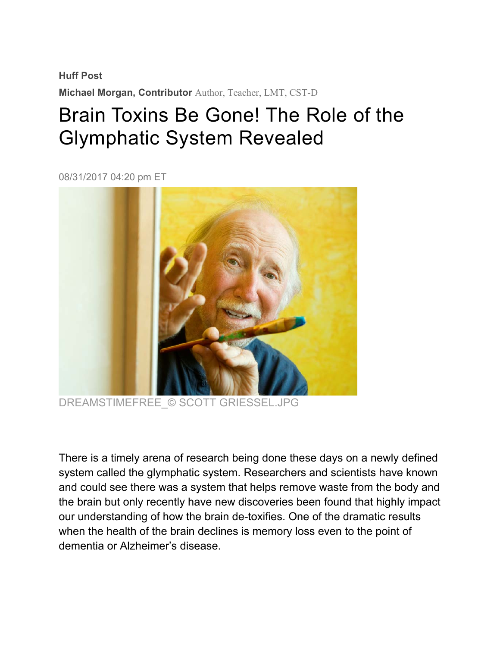**Huff Post Michael Morgan, Contributor** Author, Teacher, LMT, CST-D

## Brain Toxins Be Gone! The Role of the Glymphatic System Revealed

08/31/2017 04:20 pm ET



DREAMSTIMEFREE\_© SCOTT GRIESSEL.JPG

There is a timely arena of research being done these days on a newly defined system called the glymphatic system. Researchers and scientists have known and could see there was a system that helps remove waste from the body and the brain but only recently have new discoveries been found that highly impact our understanding of how the brain de-toxifies. One of the dramatic results when the health of the brain declines is memory loss even to the point of dementia or Alzheimer's disease.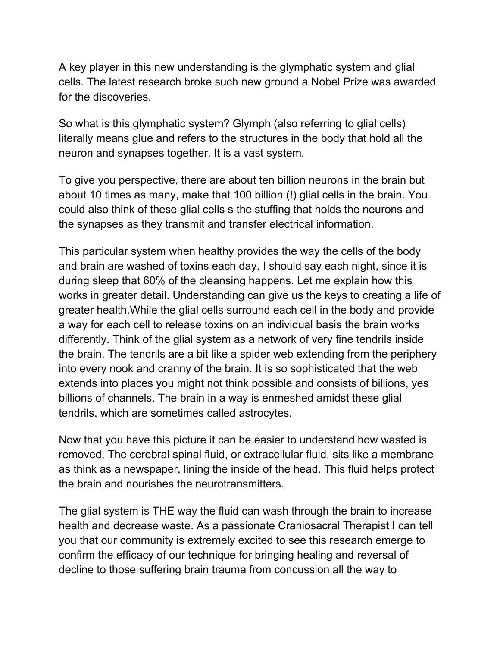A key player in this new understanding is the glymphatic system and glial cells. The latest research broke such new ground a Nobel Prize was awarded for the discoveries.

So what is this glymphatic system? Glymph (also referring to glial cells) literally means glue and refers to the structures in the body that hold all the neuron and synapses together. It is a vast system.

To give you perspective, there are about ten billion neurons in the brain but about 10 times as many, make that 100 billion (!) glial cells in the brain. You could also think of these glial cells s the stuffing that holds the neurons and the synapses as they transmit and transfer electrical information.

This particular system when healthy provides the way the cells of the body and brain are washed of toxins each day. I should say each night, since it is during sleep that 60% of the cleansing happens. Let me explain how this works in greater detail. Understanding can give us the keys to creating a life of greater health.While the glial cells surround each cell in the body and provide a way for each cell to release toxins on an individual basis the brain works differently. Think of the glial system as a network of very fine tendrils inside the brain. The tendrils are a bit like a spider web extending from the periphery into every nook and cranny of the brain. It is so sophisticated that the web extends into places you might not think possible and consists of billions, yes billions of channels. The brain in a way is enmeshed amidst these glial tendrils, which are sometimes called astrocytes.

Now that you have this picture it can be easier to understand how wasted is removed. The cerebral spinal fluid, or extracellular fluid, sits like a membrane as think as a newspaper, lining the inside of the head. This fluid helps protect the brain and nourishes the neurotransmitters.

The glial system is THE way the fluid can wash through the brain to increase health and decrease waste. As a passionate Craniosacral Therapist I can tell you that our community is extremely excited to see this research emerge to confirm the efficacy of our technique for bringing healing and reversal of decline to those suffering brain trauma from concussion all the way to